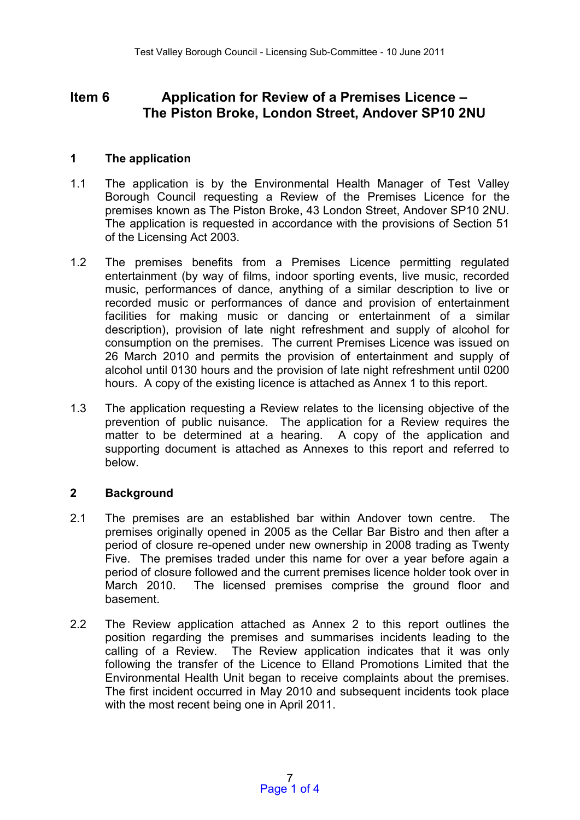# **Item 6 Application for Review of a Premises Licence – The Piston Broke, London Street, Andover SP10 2NU**

# **1 The application**

- 1.1 The application is by the Environmental Health Manager of Test Valley Borough Council requesting a Review of the Premises Licence for the premises known as The Piston Broke, 43 London Street, Andover SP10 2NU. The application is requested in accordance with the provisions of Section 51 of the Licensing Act 2003.
- 1.2 The premises benefits from a Premises Licence permitting regulated entertainment (by way of films, indoor sporting events, live music, recorded music, performances of dance, anything of a similar description to live or recorded music or performances of dance and provision of entertainment facilities for making music or dancing or entertainment of a similar description), provision of late night refreshment and supply of alcohol for consumption on the premises. The current Premises Licence was issued on 26 March 2010 and permits the provision of entertainment and supply of alcohol until 0130 hours and the provision of late night refreshment until 0200 hours. A copy of the existing licence is attached as Annex 1 to this report.
- 1.3 The application requesting a Review relates to the licensing objective of the prevention of public nuisance. The application for a Review requires the matter to be determined at a hearing. A copy of the application and supporting document is attached as Annexes to this report and referred to below.

### **2 Background**

- 2.1 The premises are an established bar within Andover town centre. The premises originally opened in 2005 as the Cellar Bar Bistro and then after a period of closure re-opened under new ownership in 2008 trading as Twenty Five. The premises traded under this name for over a year before again a period of closure followed and the current premises licence holder took over in March 2010. The licensed premises comprise the ground floor and basement.
- 2.2 The Review application attached as Annex 2 to this report outlines the position regarding the premises and summarises incidents leading to the calling of a Review. The Review application indicates that it was only following the transfer of the Licence to Elland Promotions Limited that the Environmental Health Unit began to receive complaints about the premises. The first incident occurred in May 2010 and subsequent incidents took place with the most recent being one in April 2011.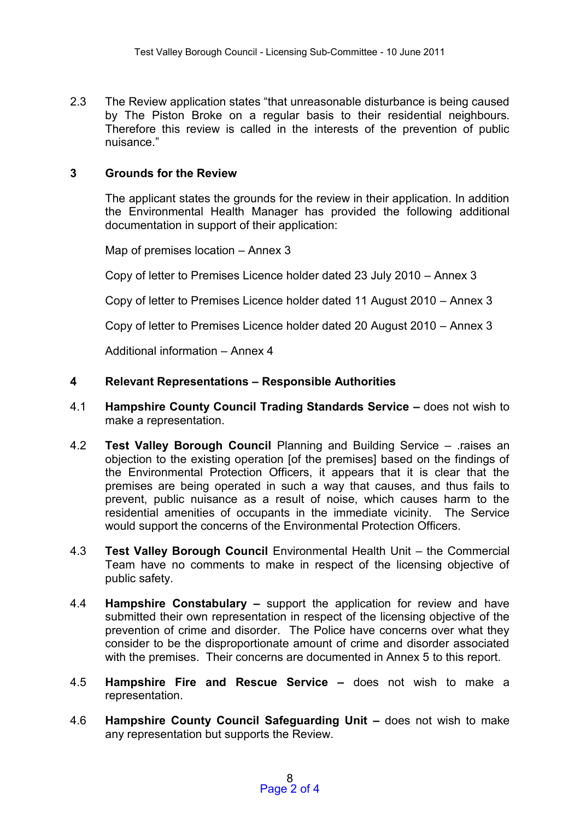2.3 The Review application states "that unreasonable disturbance is being caused by The Piston Broke on a regular basis to their residential neighbours. Therefore this review is called in the interests of the prevention of public nuisance."

### **3 Grounds for the Review**

The applicant states the grounds for the review in their application. In addition the Environmental Health Manager has provided the following additional documentation in support of their application:

Map of premises location – Annex 3

Copy of letter to Premises Licence holder dated 23 July 2010 – Annex 3

Copy of letter to Premises Licence holder dated 11 August 2010 – Annex 3

Copy of letter to Premises Licence holder dated 20 August 2010 – Annex 3

Additional information – Annex 4

#### **4 Relevant Representations – Responsible Authorities**

- 4.1 **Hampshire County Council Trading Standards Service –** does not wish to make a representation.
- 4.2 **Test Valley Borough Council** Planning and Building Service .raises an objection to the existing operation [of the premises] based on the findings of the Environmental Protection Officers, it appears that it is clear that the premises are being operated in such a way that causes, and thus fails to prevent, public nuisance as a result of noise, which causes harm to the residential amenities of occupants in the immediate vicinity. The Service would support the concerns of the Environmental Protection Officers.
- 4.3 **Test Valley Borough Council** Environmental Health Unit the Commercial Team have no comments to make in respect of the licensing objective of public safety.
- 4.4 **Hampshire Constabulary –** support the application for review and have submitted their own representation in respect of the licensing objective of the prevention of crime and disorder. The Police have concerns over what they consider to be the disproportionate amount of crime and disorder associated with the premises. Their concerns are documented in Annex 5 to this report.
- 4.5 **Hampshire Fire and Rescue Service –** does not wish to make a representation.
- 4.6 **Hampshire County Council Safeguarding Unit –** does not wish to make any representation but supports the Review.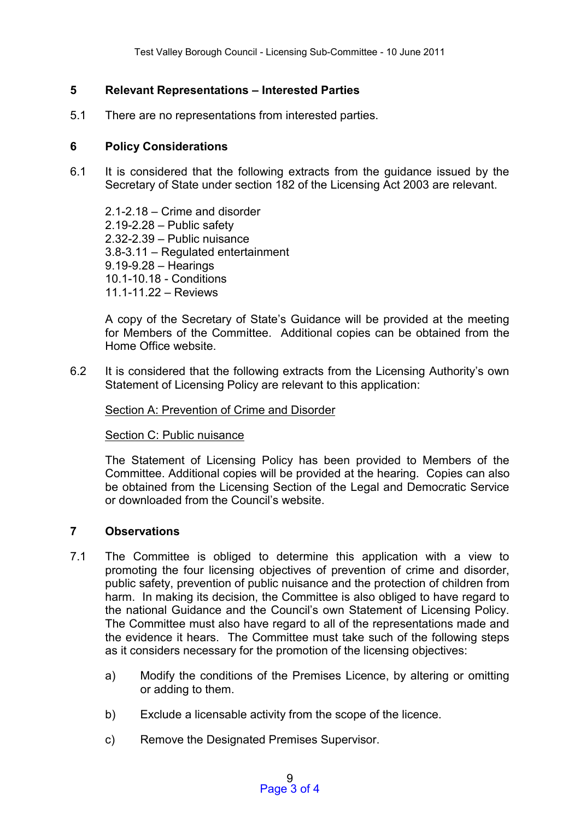# **5 Relevant Representations – Interested Parties**

5.1 There are no representations from interested parties.

## **6 Policy Considerations**

6.1 It is considered that the following extracts from the guidance issued by the Secretary of State under section 182 of the Licensing Act 2003 are relevant.

2.1-2.18 – Crime and disorder 2.19-2.28 – Public safety 2.32-2.39 – Public nuisance 3.8-3.11 – Regulated entertainment 9.19-9.28 – Hearings 10.1-10.18 - Conditions 11.1-11.22 – Reviews

A copy of the Secretary of State's Guidance will be provided at the meeting for Members of the Committee. Additional copies can be obtained from the Home Office website.

6.2 It is considered that the following extracts from the Licensing Authority's own Statement of Licensing Policy are relevant to this application:

Section A: Prevention of Crime and Disorder

Section C: Public nuisance

The Statement of Licensing Policy has been provided to Members of the Committee. Additional copies will be provided at the hearing. Copies can also be obtained from the Licensing Section of the Legal and Democratic Service or downloaded from the Council's website.

### **7 Observations**

- 7.1 The Committee is obliged to determine this application with a view to promoting the four licensing objectives of prevention of crime and disorder, public safety, prevention of public nuisance and the protection of children from harm. In making its decision, the Committee is also obliged to have regard to the national Guidance and the Council's own Statement of Licensing Policy. The Committee must also have regard to all of the representations made and the evidence it hears. The Committee must take such of the following steps as it considers necessary for the promotion of the licensing objectives:
	- a) Modify the conditions of the Premises Licence, by altering or omitting or adding to them.
	- b) Exclude a licensable activity from the scope of the licence.
	- c) Remove the Designated Premises Supervisor.